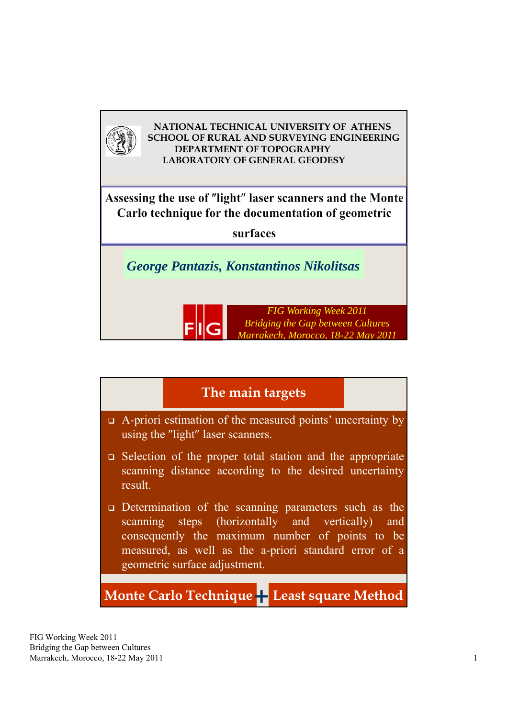

# $\Box$  A-priori estimation of the measured points' uncertainty by using the "light" laser scanners. Selection of the proper total station and the appropriate scanning distance according to the desired uncertainty result. Determination of the scanning parameters such as the scanning steps (horizontally and vertically) and consequently the maximum number of points to be measured, as well as the a-priori standard error of a geometric surface adjustment. **The main targets Monte Carlo Technique+ Least square Method**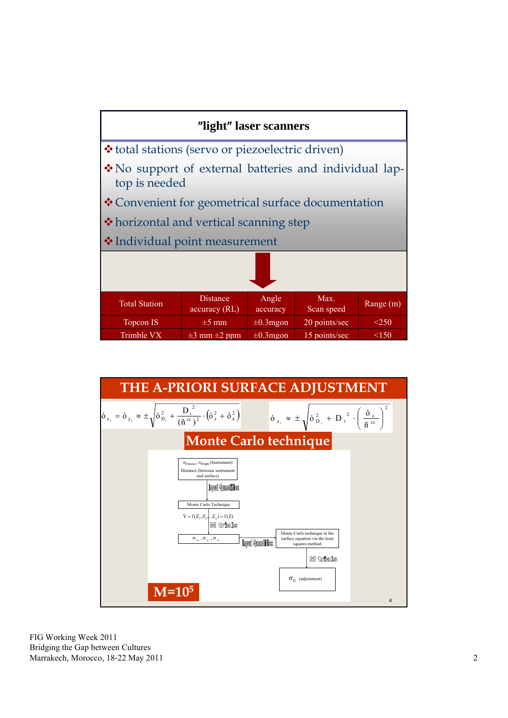

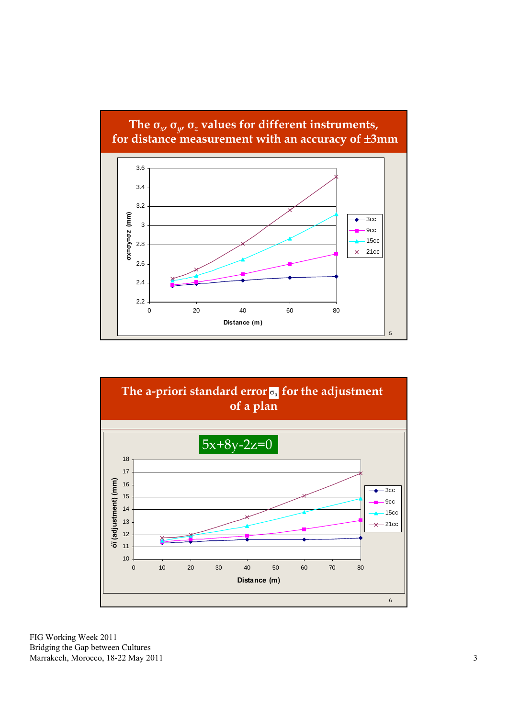#### **The σ***x***, σ***y***, σ***<sup>z</sup>* **values for different instruments, for distance measurement with an accuracy of 3mm**



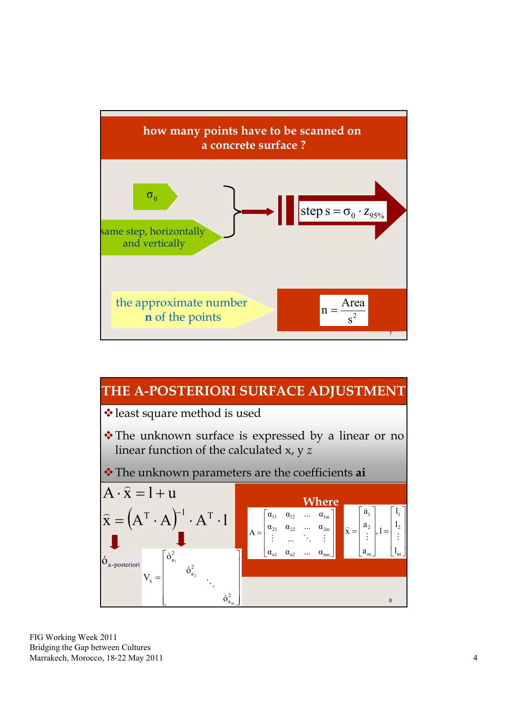

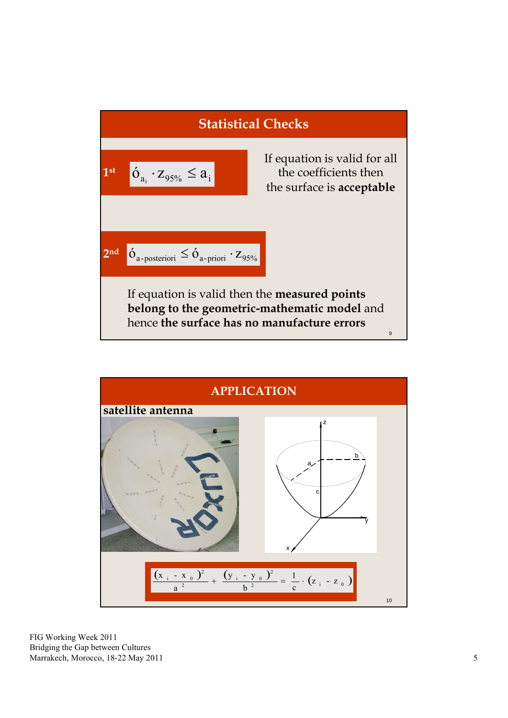

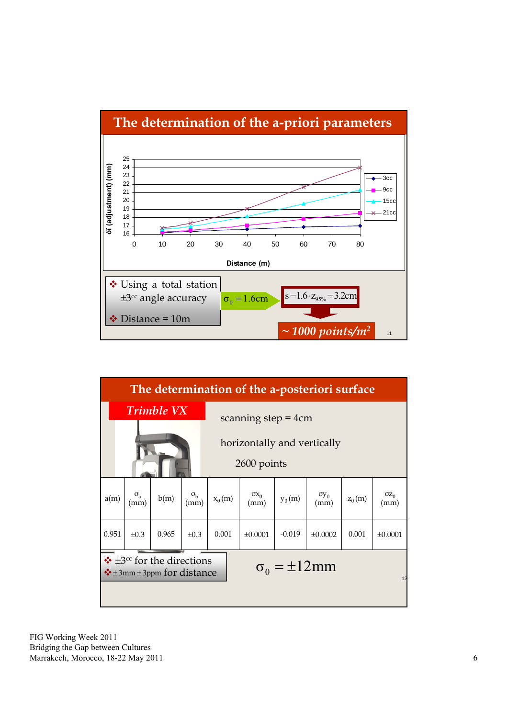

| The determination of the a-posteriori surface                                                                |                               |                   |                          |                       |                      |          |                |          |                |
|--------------------------------------------------------------------------------------------------------------|-------------------------------|-------------------|--------------------------|-----------------------|----------------------|----------|----------------|----------|----------------|
|                                                                                                              |                               | <b>Trimble VX</b> |                          | scanning step $=$ 4cm |                      |          |                |          |                |
| horizontally and vertically<br>2600 points                                                                   |                               |                   |                          |                       |                      |          |                |          |                |
| a(m)                                                                                                         | $\sigma$ <sub>a</sub><br>(mm) | b(m)              | $\sigma_{\rm b}$<br>(mm) | $x_0(m)$              | $\sigma x_0$<br>(mm) | $y_0(m)$ | $oy_0$<br>(mm) | $z_0(m)$ | $OZ_0$<br>(mm) |
| 0.951                                                                                                        | $\pm 0.3$                     | 0.965             | $\pm 0.3$                | 0.001                 | ±0.0001              | $-0.019$ | ±0.0002        | 0.001    | ±0.0001        |
| $\div$ ±3 <sup>cc</sup> for the directions<br>$\sigma_0 = \pm 12$ mm<br>$\div$ ±3mm ±3ppm for distance<br>12 |                               |                   |                          |                       |                      |          |                |          |                |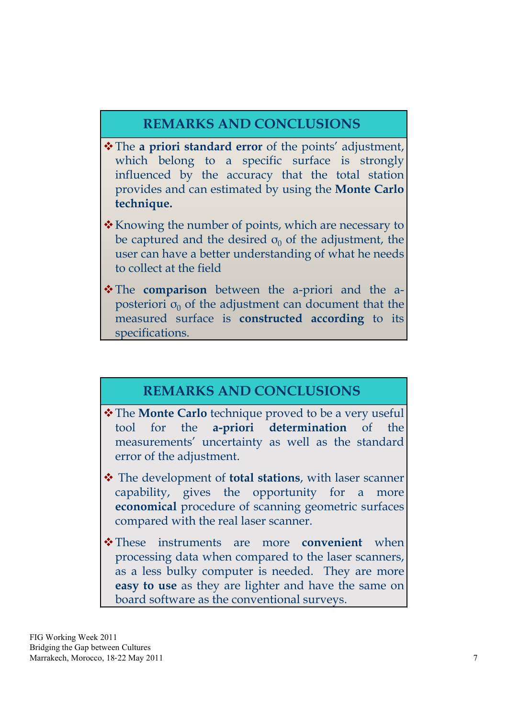## **REMARKS AND CONCLUSIONS**

- \* The **a priori standard error** of the points' adjustment, which belong to a specific surface is strongly influenced by the accuracy that the total station provides and can estimated by using the **Monte Carlo technique.**
- $\cdot$  Knowing the number of points, which are necessary to be captured and the desired  $\sigma_0$  of the adjustment, the user can have a better understanding of what he needs to collect at the field
- \* The **comparison** between the a-priori and the aposteriori  $\sigma_0$  of the adjustment can document that the measured surface is **constructed according** to its specifications.

### **REMARKS AND CONCLUSIONS**

- $\triangle$  **The Monte Carlo** technique proved to be a very useful tool for the **a-priori determination** of the measurements' uncertainty as well as the standard error of the adjustment.
- The development of **total stations**, with laser scanner capability, gives the opportunity for a more **economical** procedure of scanning geometric surfaces compared with the real laser scanner.
- These instruments are more **convenient** when processing data when compared to the laser scanners, as a less bulky computer is needed. They are more **easy to use** as they are lighter and have the same on board software as the conventional surveys.